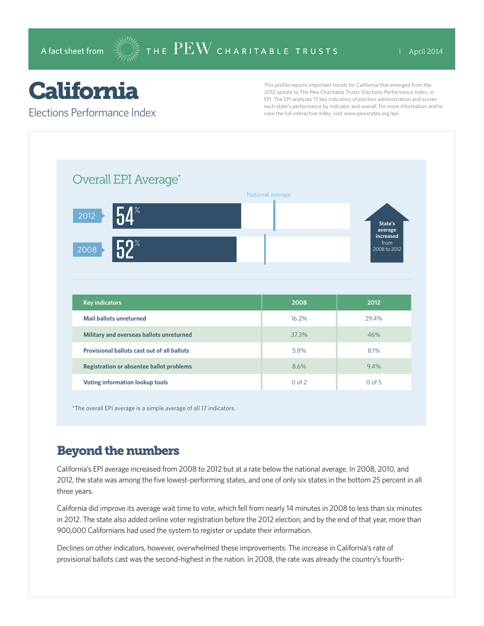# California

Elections Performance Index

This profile reports important trends for California that emerged from the 2012 update to The Pew Charitable Trusts' Elections Performance Index, or EPI. The EPI analyzes 17 key indicators of election administration and scores each state's performance by indicator and overall. For more information and to view the full interactive index, visit www.pewstates.org/epi.

| Overall EPI Average*                        |                  |                                   |
|---------------------------------------------|------------------|-----------------------------------|
|                                             | National average |                                   |
| $\blacksquare$<br>2012                      |                  | State's<br>average                |
| $52^{\circ}$<br>2008                        |                  | increased<br>from<br>2008 to 2012 |
|                                             |                  |                                   |
|                                             |                  |                                   |
| <b>Key indicators</b>                       | 2008             | 2012                              |
| Mail ballots unreturned                     | 16.2%            | 29.4%                             |
| Military and overseas ballots unreturned    | 37.3%            | 46%                               |
| Provisional ballots cast out of all ballots | 5.8%             | 8.1%                              |
| Registration or absentee ballot problems    | 8.6%             | 9.4%                              |

\*The overall EPI average is a simple average of all 17 indicators.

### Beyond the numbers

California's EPI average increased from 2008 to 2012 but at a rate below the national average. In 2008, 2010, and 2012, the state was among the five lowest-performing states, and one of only six states in the bottom 25 percent in all three years.

California did improve its average wait time to vote, which fell from nearly 14 minutes in 2008 to less than six minutes in 2012. The state also added online voter registration before the 2012 election, and by the end of that year, more than 900,000 Californians had used the system to register or update their information.

Declines on other indicators, however, overwhelmed these improvements. The increase in California's rate of provisional ballots cast was the second-highest in the nation. In 2008, the rate was already the country's fourth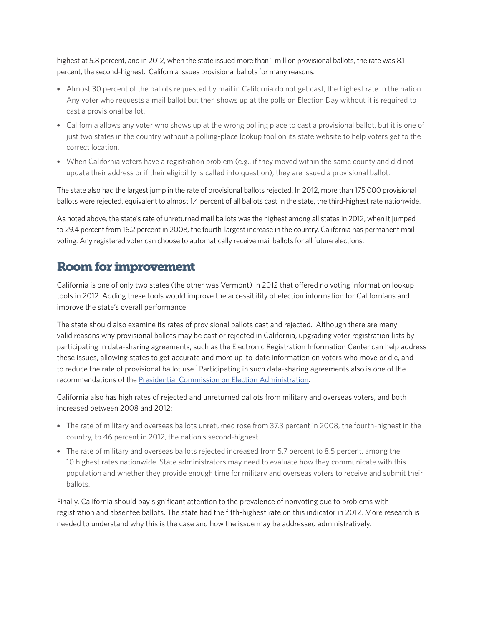highest at 5.8 percent, and in 2012, when the state issued more than 1 million provisional ballots, the rate was 8.1 percent, the second-highest. California issues provisional ballots for many reasons:

- Almost 30 percent of the ballots requested by mail in California do not get cast, the highest rate in the nation. Any voter who requests a mail ballot but then shows up at the polls on Election Day without it is required to cast a provisional ballot.
- California allows any voter who shows up at the wrong polling place to cast a provisional ballot, but it is one of just two states in the country without a polling-place lookup tool on its state website to help voters get to the correct location.
- When California voters have a registration problem (e.g., if they moved within the same county and did not update their address or if their eligibility is called into question), they are issued a provisional ballot.

The state also had the largest jump in the rate of provisional ballots rejected. In 2012, more than 175,000 provisional ballots were rejected, equivalent to almost 1.4 percent of all ballots cast in the state, the third-highest rate nationwide.

As noted above, the state's rate of unreturned mail ballots was the highest among all states in 2012, when it jumped to 29.4 percent from 16.2 percent in 2008, the fourth-largest increase in the country. California has permanent mail voting: Any registered voter can choose to automatically receive mail ballots for all future elections.

#### Room for improvement

California is one of only two states (the other was Vermont) in 2012 that offered no voting information lookup tools in 2012. Adding these tools would improve the accessibility of election information for Californians and improve the state's overall performance.

The state should also examine its rates of provisional ballots cast and rejected. Although there are many valid reasons why provisional ballots may be cast or rejected in California, upgrading voter registration lists by participating in data-sharing agreements, such as the Electronic Registration Information Center can help address these issues, allowing states to get accurate and more up-to-date information on voters who move or die, and to reduce the rate of provisional ballot use.<sup>1</sup> Participating in such data-sharing agreements also is one of the recommendations of the [Presidential Commission on Election Administration.](http://www.supportthevoter.gov/)

California also has high rates of rejected and unreturned ballots from military and overseas voters, and both increased between 2008 and 2012:

- The rate of military and overseas ballots unreturned rose from 37.3 percent in 2008, the fourth-highest in the country, to 46 percent in 2012, the nation's second-highest.
- The rate of military and overseas ballots rejected increased from 5.7 percent to 8.5 percent, among the 10 highest rates nationwide. State administrators may need to evaluate how they communicate with this population and whether they provide enough time for military and overseas voters to receive and submit their ballots.

Finally, California should pay significant attention to the prevalence of nonvoting due to problems with registration and absentee ballots. The state had the fifth-highest rate on this indicator in 2012. More research is needed to understand why this is the case and how the issue may be addressed administratively.